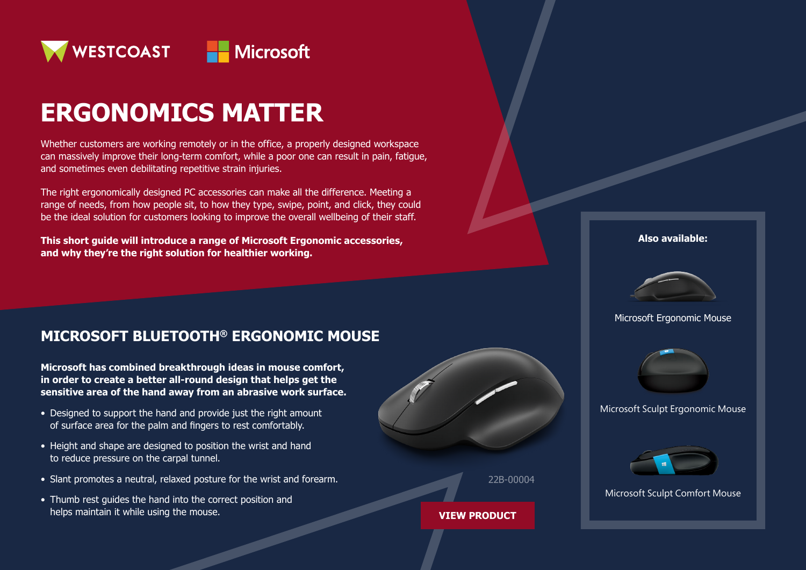

# **ERGONOMICS MATTER**

Whether customers are working remotely or in the office, a properly designed workspace can massively improve their long-term comfort, while a poor one can result in pain, fatigue, and sometimes even debilitating repetitive strain injuries.

The right ergonomically designed PC accessories can make all the difference. Meeting a range of needs, from how people sit, to how they type, swipe, point, and click, they could be the ideal solution for customers looking to improve the overall wellbeing of their staff.

**This short guide will introduce a range of Microsoft Ergonomic accessories, and why they're the right solution for healthier working.**

### **MICROSOFT BLUETOOTH® ERGONOMIC MOUSE**

**Microsoft has combined breakthrough ideas in mouse comfort, in order to create a better all-round design that helps get the sensitive area of the hand away from an abrasive work surface.**

- Designed to support the hand and provide just the right amount of surface area for the palm and fingers to rest comfortably.
- Height and shape are designed to position the wrist and hand to reduce pressure on the carpal tunnel.
- Slant promotes a neutral, relaxed posture for the wrist and forearm.
- Thumb rest guides the hand into the correct position and helps maintain it while using the mouse.





#### **[VIEW PRODUCT](https://www.westcoast.co.uk/Brands/MICROSOFT/Accessories/22B00004ERGOMOUSEBLUETOOTHBLACKFORBUS.html?utm_source=ACCSalesfloorbattlecardErgMouseP1&utm_medium=WebLink&utm_campaign=ACCMicrosoft)**

**Also available:**



Microsoft Ergonomic Mouse



Microsoft Sculpt Ergonomic Mouse



Microsoft Sculpt Comfort Mouse